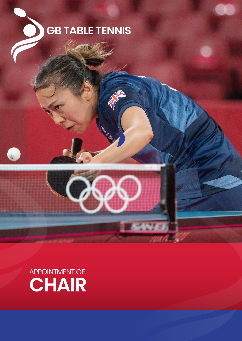

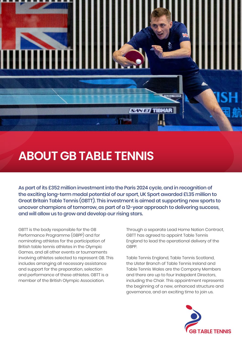

As part of its £352 million investment into the Paris 2024 cycle, and in recognition of the exciting long-term medal potential of our sport, UK Sport awarded £1.35 million to Great Britain Table Tennis (GBTT). This investment is aimed at supporting new sports to uncover champions of tomorrow, as part of a 12-year approach to delivering success, and will allow us to grow and develop our rising stars.

**SANET TIBHAR** 

GBTT is the body responsible for the GB Performance Programme (GBPP) and for nominating athletes for the participation of British table tennis athletes in the Olympic Games, and all other events or tournaments involving athletes selected to represent GB. This includes arranging all necessary assistance and support for the preparation, selection and performance of these athletes. GBTT is a member of the British Olympic Association.

Through a separate Lead Home Nation Contract, GBTT has agreed to appoint Table Tennis England to lead the operational delivery of the **GRPP** 

Table Tennis England, Table Tennis Scotland, the Ulster Branch of Table Tennis Ireland and Table Tennis Wales are the Company Members and there are up to four Indepdent Directors, including the Chair. This appointment represents the beginning of a new, enhanced structure and governance, and an exciting time to join us.

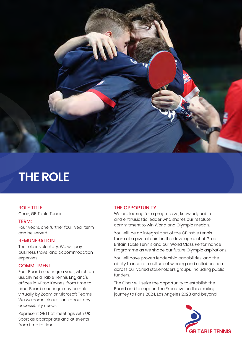

# **THE ROLE**

## ROLE TITLE:

Chair, GB Table Tennis

#### TERM:

Four years, one further four-year term can be served

#### REMUNERATION:

The role is voluntary. We will pay business travel and accommodation expenses

#### COMMITMENT:

Four Board meetings a year, which are usually held Table Tennis England's offices in Milton Keynes; from time to time, Board meetings may be held virtually by Zoom or Microsoft Teams. We welcome discussions about any accessibility needs.

Represent GBTT at meetings with UK Sport as appropriate and at events from time to time.

### THE OPPORTUNITY:

We are looking for a progressive, knowledgeable and enthusiastic leader who shares our resolute commitment to win World and Olympic medals.

You willl be an integral part of the GB table tennis team at a pivotal point in the development of Great Britain Table Tennis and our World Class Performance Programme as we shape our future Olympic aspirations.

You will have proven leadership capabilities, and the ability to inspire a culture of winning and collaboration across our varied stakeholders groups, including public funders.

The Chair will seize the opportunity to establish the Board and to support the Executive on this exciting journey to Paris 2024, Los Angeles 2028 and beyond.

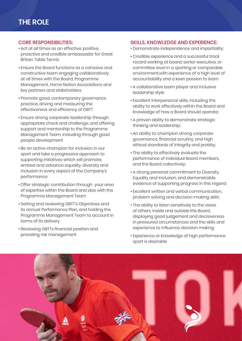### CORE RESPONSIBILITIES:

- Act at all times as an effective, positive, proactive and credible ambassador for Great Britain Table Tennis
- Ensure the Board functions as a cohesive and constructive team engaging collaboratively at all times with the Board, Programme Management, Home Nation Associations and key partners and stakeholders
- Promote good, contemporary governance practice, driving and measuring the effectiveness and efficiency of GBTT
- Ensure strong corporate leadership through appropriate check and challenge, and offering support and mentorship to the Programme Management Team, including through good people development
- Be an active champion for inclusion in our sport and take a progressive approach to supporting initiatives which will promote, embed and advance equality, diversity and inclusion in every aspect of the Company's performance
- Offer strategic contribution through your area of expertise within the Board and also with the Programme Management Team
- Setting and reviewing GBTT's Objectives and its annual Performance Plan, and holding the Programme Management Team to account in terms of its delivery
- Reviewing GBTTs financial position and providing risk management

### SKILLS, KNOWLEDGE AND EXPERIENCE:

- Demonstrate independence and impartiality;
- Credible experience and a successful track record working at board, senior executive, or committee level in a sporting or comparable environment,with experience of a high level of accountability and a keen passion to learn
- A collaborative team player and inclusive leadership style
- Excellent interpersonal skills, including the ability to work effectively within the Board and knowledge of how a Board should operate;
- A proven ability to demonstrate strategic thinking and leadership;
- An ability to champion strong corporate governance, financial scrutiny, and high ethical standards of integrity and probity;
- The ability to effectively evaluate the performance of individual Board members, and the Board collectively;
- A strong personal commitment to Diversity, Equality and Inclusion, and demonstrable evidence of supporting progress in this regard;
- Excellent written and verbal communication, problem solving and decision-making skills;
- The ability to listen sensitively to the views of others, inside and outside the Board, displaying good judgement and decisiveness in pressured circumstances and the skills and experience to influence decision making;
- Experience or knowledge of high performance sport is desirable

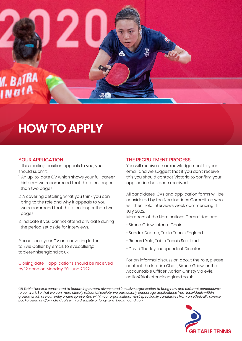

# **HOW TO APPLY**

### YOUR APPLICATION

If this exciting position appeals to you, you should submit:

- 1. An up-to-date CV which shows your full career history – we recommend that this is no longer than two pages;
- 2. A covering detailing what you think you can bring to the role and why it appeals to you – we recommend that this is no longer than two pages;
- 3. Indicate if you cannot attend any date during the period set aside for interviews.

Please send your CV and covering letter to Evie Collier by email, to eve.collier@ tabletennisengland.co.uk

Closing date – applications should be received by 12 noon on Monday 20 June 2022.

### THE RECRUITMENT PROCESS

You will receive an acknowledgement to your email and we suggest that if you don't receive this you should contact Victoria to confirm your application has been received.

All candidates' CVs and application forms will be considered by the Nominations Committee who will then hold interviews week commencing 4 July 2022.

Members of the Nominations Committee are:

- Simon Griew, Interim Chair
- Sandra Deaton, Table Tennis England
- Richard Yule, Table Tennis Scotland
- David Thorley, Independent Director

For an informal discussion about the role, please contact the Interim Chair, Simon Griew, or the Accountable Officer, Adrian Christy via evie. collier@tabletennisengland.co.uk.

*GB Table Tennis is committed to becoming a more diverse and inclusive organisation to bring new and different perspectives to our work. So that we can more closely reflect UK society, we particularly encourage applications from individuals within groups which are currently underrepresented within our organisation, most specifically candidates from an ethnically diverse background and/or individuals with a disability or long-term health condition.*